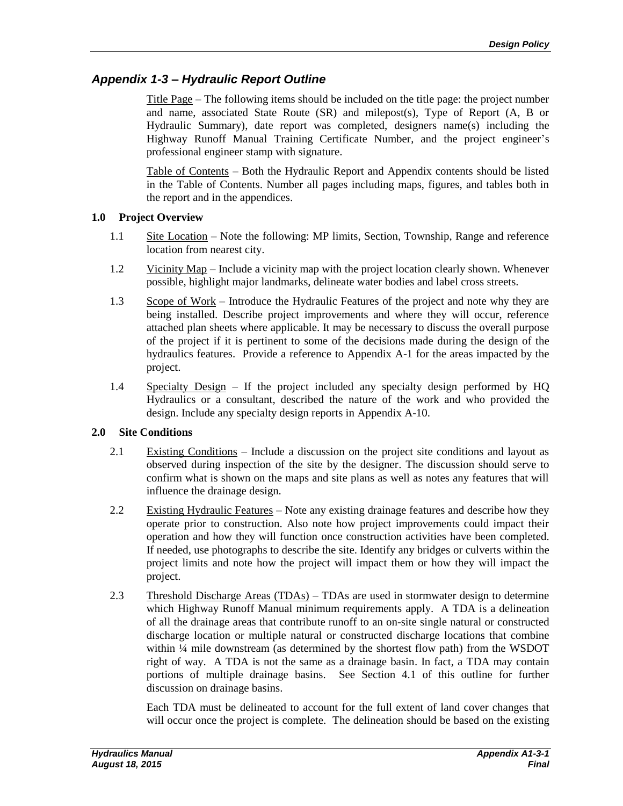# *Appendix 1-3 – Hydraulic Report Outline*

Title Page – The following items should be included on the title page: the project number and name, associated State Route (SR) and milepost(s), Type of Report (A, B or Hydraulic Summary), date report was completed, designers name(s) including the Highway Runoff Manual Training Certificate Number, and the project engineer's professional engineer stamp with signature.

Table of Contents – Both the Hydraulic Report and Appendix contents should be listed in the Table of Contents. Number all pages including maps, figures, and tables both in the report and in the appendices.

### **1.0 Project Overview**

- 1.1 Site Location Note the following: MP limits, Section, Township, Range and reference location from nearest city.
- 1.2 Vicinity Map Include a vicinity map with the project location clearly shown. Whenever possible, highlight major landmarks, delineate water bodies and label cross streets.
- 1.3 Scope of Work Introduce the Hydraulic Features of the project and note why they are being installed. Describe project improvements and where they will occur, reference attached plan sheets where applicable. It may be necessary to discuss the overall purpose of the project if it is pertinent to some of the decisions made during the design of the hydraulics features. Provide a reference to Appendix A-1 for the areas impacted by the project.
- 1.4 Specialty Design If the project included any specialty design performed by HQ Hydraulics or a consultant, described the nature of the work and who provided the design. Include any specialty design reports in Appendix A-10.

### **2.0 Site Conditions**

- 2.1 Existing Conditions Include a discussion on the project site conditions and layout as observed during inspection of the site by the designer. The discussion should serve to confirm what is shown on the maps and site plans as well as notes any features that will influence the drainage design.
- 2.2 Existing Hydraulic Features Note any existing drainage features and describe how they operate prior to construction. Also note how project improvements could impact their operation and how they will function once construction activities have been completed. If needed, use photographs to describe the site. Identify any bridges or culverts within the project limits and note how the project will impact them or how they will impact the project.
- 2.3 Threshold Discharge Areas (TDAs) TDAs are used in stormwater design to determine which Highway Runoff Manual minimum requirements apply. A TDA is a delineation of all the drainage areas that contribute runoff to an on-site single natural or constructed discharge location or multiple natural or constructed discharge locations that combine within  $\frac{1}{4}$  mile downstream (as determined by the shortest flow path) from the WSDOT right of way. A TDA is not the same as a drainage basin. In fact, a TDA may contain portions of multiple drainage basins. See Section 4.1 of this outline for further discussion on drainage basins.

Each TDA must be delineated to account for the full extent of land cover changes that will occur once the project is complete. The delineation should be based on the existing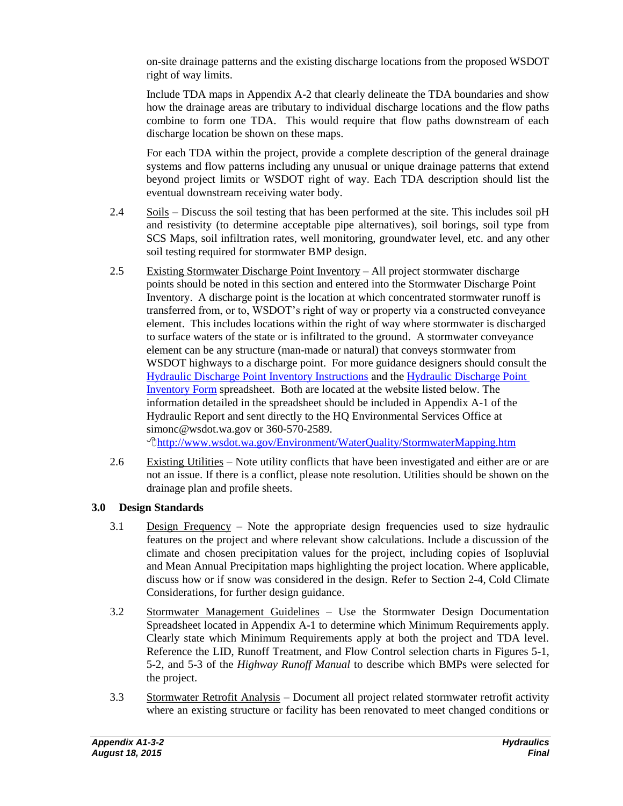on-site drainage patterns and the existing discharge locations from the proposed WSDOT right of way limits.

Include TDA maps in Appendix A-2 that clearly delineate the TDA boundaries and show how the drainage areas are tributary to individual discharge locations and the flow paths combine to form one TDA. This would require that flow paths downstream of each discharge location be shown on these maps.

For each TDA within the project, provide a complete description of the general drainage systems and flow patterns including any unusual or unique drainage patterns that extend beyond project limits or WSDOT right of way. Each TDA description should list the eventual downstream receiving water body.

- 2.4 Soils Discuss the soil testing that has been performed at the site. This includes soil pH and resistivity (to determine acceptable pipe alternatives), soil borings, soil type from SCS Maps, soil infiltration rates, well monitoring, groundwater level, etc. and any other soil testing required for stormwater BMP design.
- 2.5 Existing Stormwater Discharge Point Inventory All project stormwater discharge points should be noted in this section and entered into the Stormwater Discharge Point Inventory. A discharge point is the location at which concentrated stormwater runoff is transferred from, or to, WSDOT's right of way or property via a constructed conveyance element. This includes locations within the right of way where stormwater is discharged to surface waters of the state or is infiltrated to the ground. A stormwater conveyance element can be any structure (man-made or natural) that conveys stormwater from WSDOT highways to a discharge point. For more guidance designers should consult the Hydraulic [Discharge Point Inventory Instructions](http://www.wsdot.wa.gov/NR/rdonlyres/E01B1096-E2E6-4C6A-A21A-C2C9659728C9/0/DschrgeInvntryInstruction.docx) and the [Hydraulic Discharge Point](http://www.wsdot.wa.gov/NR/rdonlyres/EE2118A6-75B7-48DB-B00D-6910BEA7B654/0/DischargeInventoryForm.xlsx)  [Inventory Form](http://www.wsdot.wa.gov/NR/rdonlyres/EE2118A6-75B7-48DB-B00D-6910BEA7B654/0/DischargeInventoryForm.xlsx) spreadsheet. Both are located at the website listed below. The information detailed in the spreadsheet should be included in Appendix A-1 of the Hydraulic Report and sent directly to the HQ Environmental Services Office at simonc@wsdot.wa.gov or 360-570-2589. <http://www.wsdot.wa.gov/Environment/WaterQuality/StormwaterMapping.htm>
- 2.6 Existing Utilities Note utility conflicts that have been investigated and either are or are not an issue. If there is a conflict, please note resolution. Utilities should be shown on the drainage plan and profile sheets.

## **3.0 Design Standards**

- 3.1 Design Frequency Note the appropriate design frequencies used to size hydraulic features on the project and where relevant show calculations. Include a discussion of the climate and chosen precipitation values for the project, including copies of Isopluvial and Mean Annual Precipitation maps highlighting the project location. Where applicable, discuss how or if snow was considered in the design. Refer to Section 2-4, Cold Climate Considerations, for further design guidance.
- 3.2 Stormwater Management Guidelines Use the Stormwater Design Documentation Spreadsheet located in Appendix A-1 to determine which Minimum Requirements apply. Clearly state which Minimum Requirements apply at both the project and TDA level. Reference the LID, Runoff Treatment, and Flow Control selection charts in Figures 5-1, 5-2, and 5-3 of the *Highway Runoff Manual* to describe which BMPs were selected for the project.
- 3.3 Stormwater Retrofit Analysis Document all project related stormwater retrofit activity where an existing structure or facility has been renovated to meet changed conditions or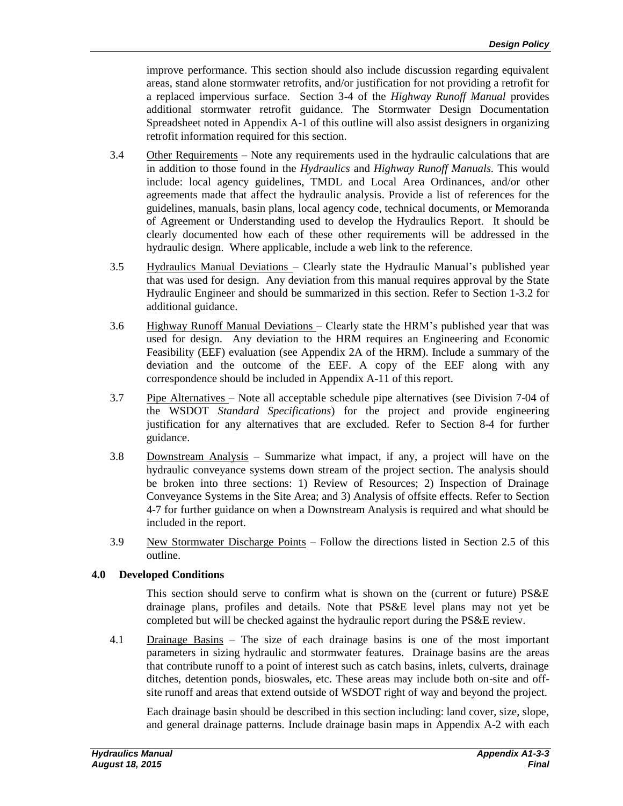improve performance. This section should also include discussion regarding equivalent areas, stand alone stormwater retrofits, and/or justification for not providing a retrofit for a replaced impervious surface. Section 3-4 of the *Highway Runoff Manual* provides additional stormwater retrofit guidance. The Stormwater Design Documentation Spreadsheet noted in Appendix A-1 of this outline will also assist designers in organizing retrofit information required for this section.

- 3.4 Other Requirements Note any requirements used in the hydraulic calculations that are in addition to those found in the *Hydraulics* and *Highway Runoff Manuals.* This would include: local agency guidelines, TMDL and Local Area Ordinances, and/or other agreements made that affect the hydraulic analysis. Provide a list of references for the guidelines, manuals, basin plans, local agency code, technical documents, or Memoranda of Agreement or Understanding used to develop the Hydraulics Report. It should be clearly documented how each of these other requirements will be addressed in the hydraulic design. Where applicable, include a web link to the reference.
- 3.5 Hydraulics Manual Deviations Clearly state the Hydraulic Manual's published year that was used for design. Any deviation from this manual requires approval by the State Hydraulic Engineer and should be summarized in this section. Refer to Section 1-3.2 for additional guidance.
- 3.6 Highway Runoff Manual Deviations Clearly state the HRM's published year that was used for design. Any deviation to the HRM requires an Engineering and Economic Feasibility (EEF) evaluation (see Appendix 2A of the HRM). Include a summary of the deviation and the outcome of the EEF. A copy of the EEF along with any correspondence should be included in Appendix A-11 of this report.
- 3.7 Pipe Alternatives Note all acceptable schedule pipe alternatives (see Division 7-04 of the WSDOT *Standard Specifications*) for the project and provide engineering justification for any alternatives that are excluded. Refer to Section 8-4 for further guidance.
- 3.8 Downstream Analysis Summarize what impact, if any, a project will have on the hydraulic conveyance systems down stream of the project section. The analysis should be broken into three sections: 1) Review of Resources; 2) Inspection of Drainage Conveyance Systems in the Site Area; and 3) Analysis of offsite effects. Refer to Section 4-7 for further guidance on when a Downstream Analysis is required and what should be included in the report.
- 3.9 New Stormwater Discharge Points Follow the directions listed in Section 2.5 of this outline.

### **4.0 Developed Conditions**

This section should serve to confirm what is shown on the (current or future) PS&E drainage plans, profiles and details. Note that PS&E level plans may not yet be completed but will be checked against the hydraulic report during the PS&E review.

4.1 Drainage Basins – The size of each drainage basins is one of the most important parameters in sizing hydraulic and stormwater features. Drainage basins are the areas that contribute runoff to a point of interest such as catch basins, inlets, culverts, drainage ditches, detention ponds, bioswales, etc. These areas may include both on-site and offsite runoff and areas that extend outside of WSDOT right of way and beyond the project.

Each drainage basin should be described in this section including: land cover, size, slope, and general drainage patterns. Include drainage basin maps in Appendix A-2 with each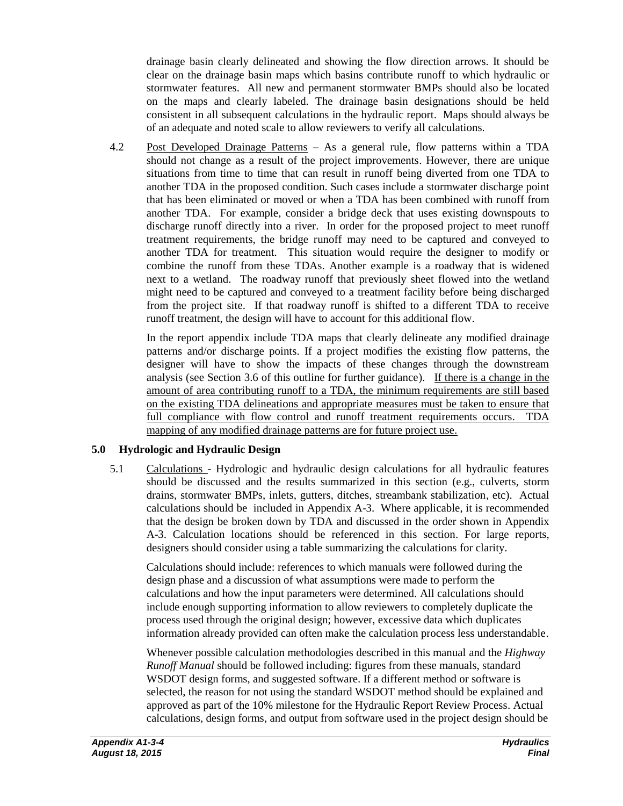drainage basin clearly delineated and showing the flow direction arrows. It should be clear on the drainage basin maps which basins contribute runoff to which hydraulic or stormwater features. All new and permanent stormwater BMPs should also be located on the maps and clearly labeled. The drainage basin designations should be held consistent in all subsequent calculations in the hydraulic report. Maps should always be of an adequate and noted scale to allow reviewers to verify all calculations.

4.2 Post Developed Drainage Patterns – As a general rule, flow patterns within a TDA should not change as a result of the project improvements. However, there are unique situations from time to time that can result in runoff being diverted from one TDA to another TDA in the proposed condition. Such cases include a stormwater discharge point that has been eliminated or moved or when a TDA has been combined with runoff from another TDA. For example, consider a bridge deck that uses existing downspouts to discharge runoff directly into a river. In order for the proposed project to meet runoff treatment requirements, the bridge runoff may need to be captured and conveyed to another TDA for treatment. This situation would require the designer to modify or combine the runoff from these TDAs. Another example is a roadway that is widened next to a wetland. The roadway runoff that previously sheet flowed into the wetland might need to be captured and conveyed to a treatment facility before being discharged from the project site. If that roadway runoff is shifted to a different TDA to receive runoff treatment, the design will have to account for this additional flow.

In the report appendix include TDA maps that clearly delineate any modified drainage patterns and/or discharge points. If a project modifies the existing flow patterns, the designer will have to show the impacts of these changes through the downstream analysis (see Section 3.6 of this outline for further guidance). If there is a change in the amount of area contributing runoff to a TDA, the minimum requirements are still based on the existing TDA delineations and appropriate measures must be taken to ensure that full compliance with flow control and runoff treatment requirements occurs. TDA mapping of any modified drainage patterns are for future project use.

## **5.0 Hydrologic and Hydraulic Design**

5.1 Calculations - Hydrologic and hydraulic design calculations for all hydraulic features should be discussed and the results summarized in this section (e.g., culverts, storm drains, stormwater BMPs, inlets, gutters, ditches, streambank stabilization, etc). Actual calculations should be included in Appendix A-3. Where applicable, it is recommended that the design be broken down by TDA and discussed in the order shown in Appendix A-3. Calculation locations should be referenced in this section. For large reports, designers should consider using a table summarizing the calculations for clarity.

Calculations should include: references to which manuals were followed during the design phase and a discussion of what assumptions were made to perform the calculations and how the input parameters were determined. All calculations should include enough supporting information to allow reviewers to completely duplicate the process used through the original design; however, excessive data which duplicates information already provided can often make the calculation process less understandable.

Whenever possible calculation methodologies described in this manual and the *Highway Runoff Manual* should be followed including: figures from these manuals, standard WSDOT design forms, and suggested software. If a different method or software is selected, the reason for not using the standard WSDOT method should be explained and approved as part of the 10% milestone for the Hydraulic Report Review Process. Actual calculations, design forms, and output from software used in the project design should be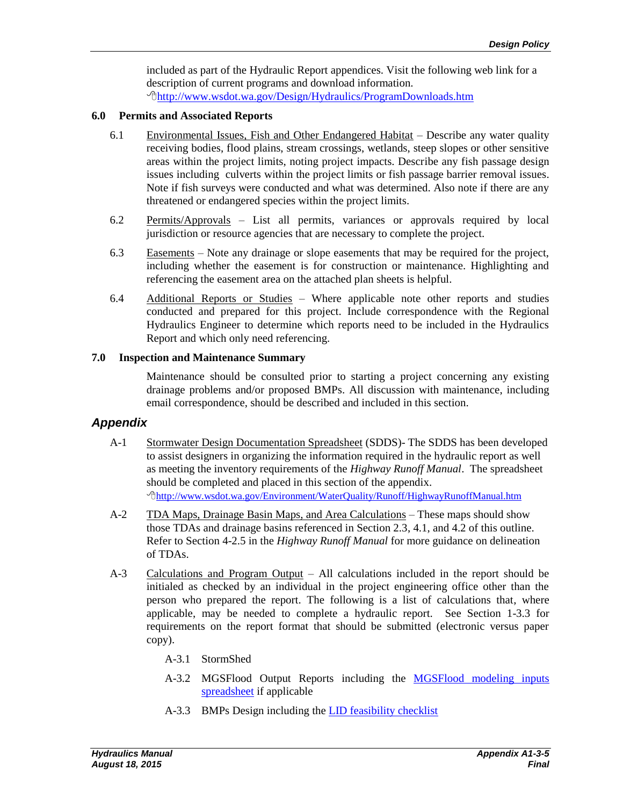included as part of the Hydraulic Report appendices. Visit the following web link for a description of current programs and download information. <http://www.wsdot.wa.gov/Design/Hydraulics/ProgramDownloads.htm>

#### **6.0 Permits and Associated Reports**

- 6.1 Environmental Issues, Fish and Other Endangered Habitat Describe any water quality receiving bodies, flood plains, stream crossings, wetlands, steep slopes or other sensitive areas within the project limits, noting project impacts. Describe any fish passage design issues including culverts within the project limits or fish passage barrier removal issues. Note if fish surveys were conducted and what was determined. Also note if there are any threatened or endangered species within the project limits.
- 6.2 Permits/Approvals List all permits, variances or approvals required by local jurisdiction or resource agencies that are necessary to complete the project.
- 6.3 Easements Note any drainage or slope easements that may be required for the project, including whether the easement is for construction or maintenance. Highlighting and referencing the easement area on the attached plan sheets is helpful.
- 6.4 Additional Reports or Studies Where applicable note other reports and studies conducted and prepared for this project. Include correspondence with the Regional Hydraulics Engineer to determine which reports need to be included in the Hydraulics Report and which only need referencing.

#### **7.0 Inspection and Maintenance Summary**

Maintenance should be consulted prior to starting a project concerning any existing drainage problems and/or proposed BMPs. All discussion with maintenance, including email correspondence, should be described and included in this section.

## *Appendix*

- A-1 Stormwater Design Documentation Spreadsheet (SDDS)- The SDDS has been developed to assist designers in organizing the information required in the hydraulic report as well as meeting the inventory requirements of the *Highway Runoff Manual*. The spreadsheet should be completed and placed in this section of the appendix. <http://www.wsdot.wa.gov/Environment/WaterQuality/Runoff/HighwayRunoffManual.htm>
- A-2 TDA Maps, Drainage Basin Maps, and Area Calculations These maps should show those TDAs and drainage basins referenced in Section 2.3, 4.1, and 4.2 of this outline. Refer to Section 4-2.5 in the *Highway Runoff Manual* for more guidance on delineation of TDAs.
- A-3 Calculations and Program Output All calculations included in the report should be initialed as checked by an individual in the project engineering office other than the person who prepared the report. The following is a list of calculations that, where applicable, may be needed to complete a hydraulic report. See Section 1-3.3 for requirements on the report format that should be submitted (electronic versus paper copy).
	- A-3.1 StormShed
	- A-3.2 MGSFlood Output Reports including the [MGSFlood modeling inputs](http://www.wsdot.wa.gov/publications/fulltext/Hydraulics/HRM/MGS_Flood.xlsx)  [spreadsheet](http://www.wsdot.wa.gov/publications/fulltext/Hydraulics/HRM/MGS_Flood.xlsx) if applicable
	- A-3.3 BMPs Design including the [LID feasibility checklist](http://www.wsdot.wa.gov/publications/fulltext/Hydraulics/HRM/LID_V5.xls)